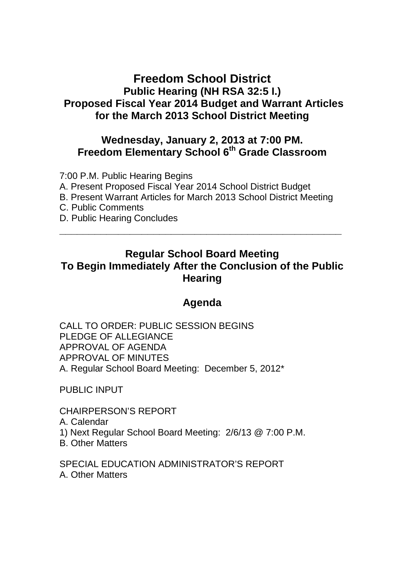# **Freedom School District Public Hearing (NH RSA 32:5 I.) Proposed Fiscal Year 2014 Budget and Warrant Articles for the March 2013 School District Meeting**

### **Wednesday, January 2, 2013 at 7:00 PM. Freedom Elementary School 6th Grade Classroom**

7:00 P.M. Public Hearing Begins

A. Present Proposed Fiscal Year 2014 School District Budget

B. Present Warrant Articles for March 2013 School District Meeting

- C. Public Comments
- D. Public Hearing Concludes

# **Regular School Board Meeting To Begin Immediately After the Conclusion of the Public Hearing**

**\_\_\_\_\_\_\_\_\_\_\_\_\_\_\_\_\_\_\_\_\_\_\_\_\_\_\_\_\_\_\_\_\_\_\_\_\_\_\_\_\_\_\_\_\_\_\_\_**

# **Agenda**

CALL TO ORDER: PUBLIC SESSION BEGINS PLEDGE OF ALLEGIANCE APPROVAL OF AGENDA APPROVAL OF MINUTES A. Regular School Board Meeting: December 5, 2012\*

PUBLIC INPUT

CHAIRPERSON'S REPORT

- A. Calendar
- 1) Next Regular School Board Meeting: 2/6/13 @ 7:00 P.M.
- B. Other Matters

SPECIAL EDUCATION ADMINISTRATOR'S REPORT A. Other Matters